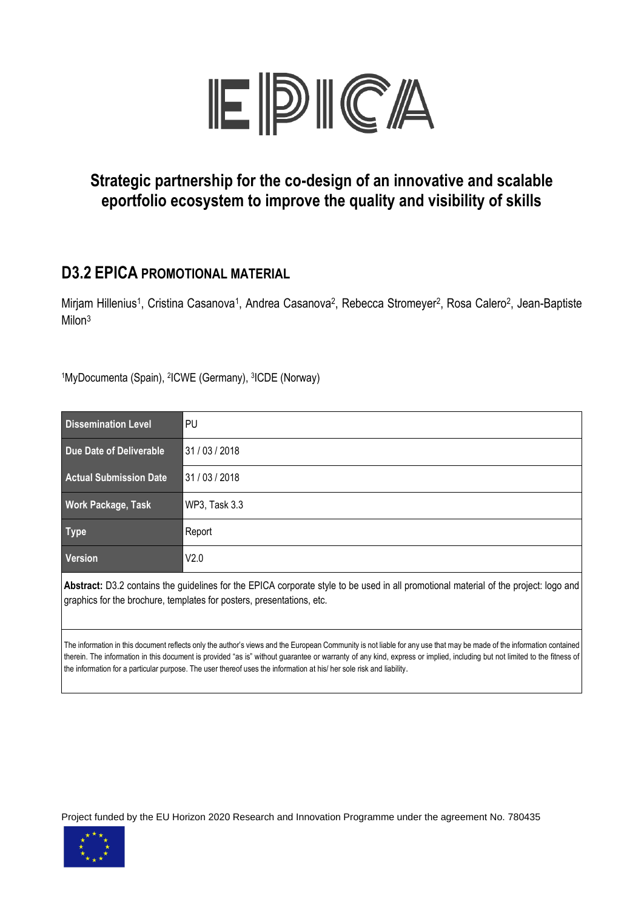

### **Strategic partnership for the co-design of an innovative and scalable eportfolio ecosystem to improve the quality and visibility of skills**

### **D3.2 EPICA PROMOTIONAL MATERIAL**

Mirjam Hillenius<sup>1</sup>, Cristina Casanova<sup>1</sup>, Andrea Casanova<sup>2</sup>, Rebecca Stromeyer<sup>2</sup>, Rosa Calero<sup>2</sup>, Jean-Baptiste Milon<sup>3</sup>

1MyDocumenta (Spain), <sup>2</sup>ICWE (Germany), <sup>3</sup>ICDE (Norway)

| <b>Dissemination Level</b>                                                                                                                                                                                    | PU                   |  |  |  |
|---------------------------------------------------------------------------------------------------------------------------------------------------------------------------------------------------------------|----------------------|--|--|--|
| Due Date of Deliverable                                                                                                                                                                                       | 31 / 03 / 2018       |  |  |  |
| <b>Actual Submission Date</b>                                                                                                                                                                                 | 31 / 03 / 2018       |  |  |  |
| <b>Work Package, Task</b>                                                                                                                                                                                     | <b>WP3, Task 3.3</b> |  |  |  |
| <b>Type</b>                                                                                                                                                                                                   | Report               |  |  |  |
| Version                                                                                                                                                                                                       | V2.0                 |  |  |  |
| Abstract: D3.2 contains the guidelines for the EPICA corporate style to be used in all promotional material of the project: logo and<br>graphics for the brochure, templates for posters, presentations, etc. |                      |  |  |  |

The information in this document reflects only the author's views and the European Community is not liable for any use that may be made of the information contained therein. The information in this document is provided "as is" without guarantee or warranty of any kind, express or implied, including but not limited to the fitness of the information for a particular purpose. The user thereof uses the information at his/ her sole risk and liability.

Project funded by the EU Horizon 2020 Research and Innovation Programme under the agreement No. 780435

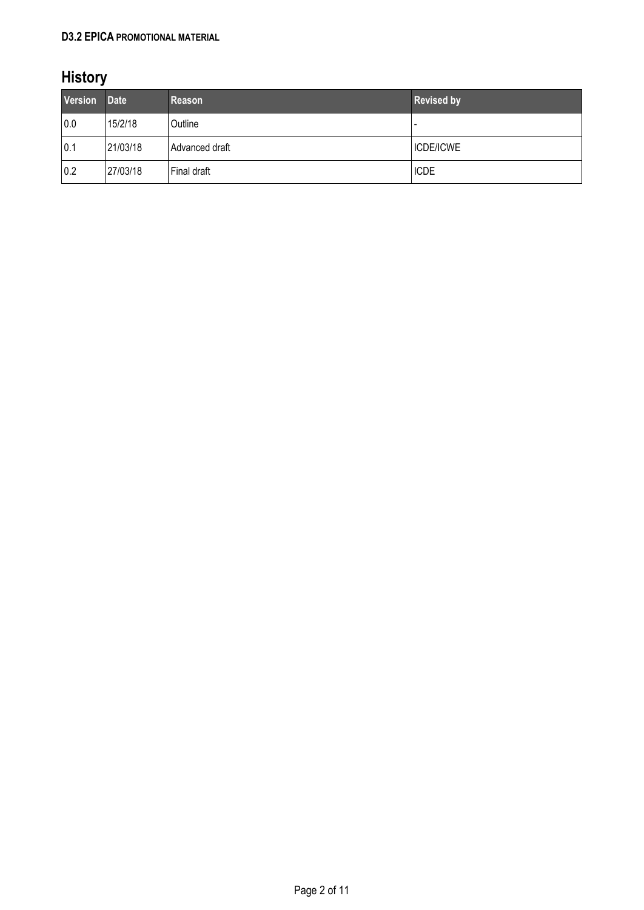#### **D3.2 EPICA PROMOTIONAL MATERIAL**

# **History**

| <b>Version</b> | <b>Date</b> | <b>Reason</b>  | <b>Revised by</b> |
|----------------|-------------|----------------|-------------------|
| 0.0            | 15/2/18     | Outline        |                   |
| 0.1            | 21/03/18    | Advanced draft | <b>ICDE/ICWE</b>  |
| 0.2            | 27/03/18    | Final draft    | <b>ICDE</b>       |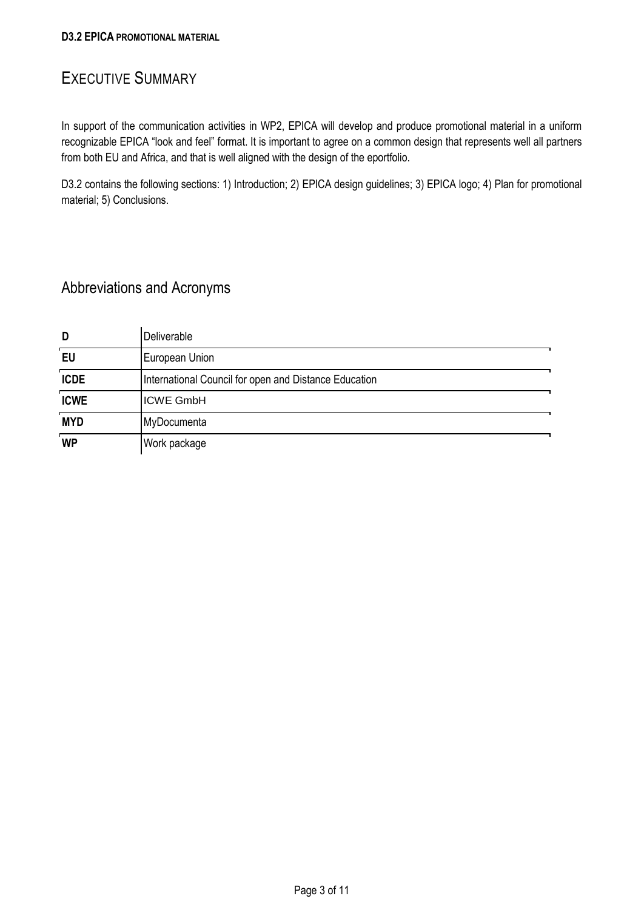#### <span id="page-2-0"></span>EXECUTIVE SUMMARY

In support of the communication activities in WP2, EPICA will develop and produce promotional material in a uniform recognizable EPICA "look and feel" format. It is important to agree on a common design that represents well all partners from both EU and Africa, and that is well aligned with the design of the eportfolio.

D3.2 contains the following sections: 1) Introduction; 2) EPICA design guidelines; 3) EPICA logo; 4) Plan for promotional material; 5) Conclusions.

### Abbreviations and Acronyms

| D           | Deliverable                                           |  |
|-------------|-------------------------------------------------------|--|
| EU          | European Union                                        |  |
| <b>ICDE</b> | International Council for open and Distance Education |  |
| <b>ICWE</b> | <b>ICWE GmbH</b>                                      |  |
| <b>MYD</b>  | MyDocumenta                                           |  |
| <b>WP</b>   | Work package                                          |  |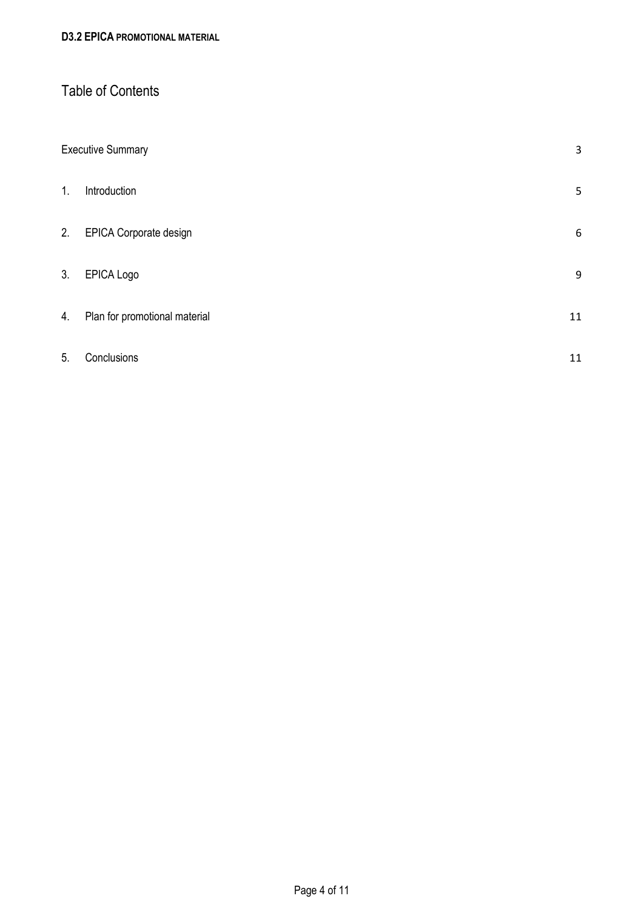#### Table of Contents

|    | <b>Executive Summary</b>      |    |
|----|-------------------------------|----|
| 1. | Introduction                  | 5  |
| 2. | EPICA Corporate design        | 6  |
| 3. | EPICA Logo                    | 9  |
| 4. | Plan for promotional material | 11 |
| 5. | Conclusions                   | 11 |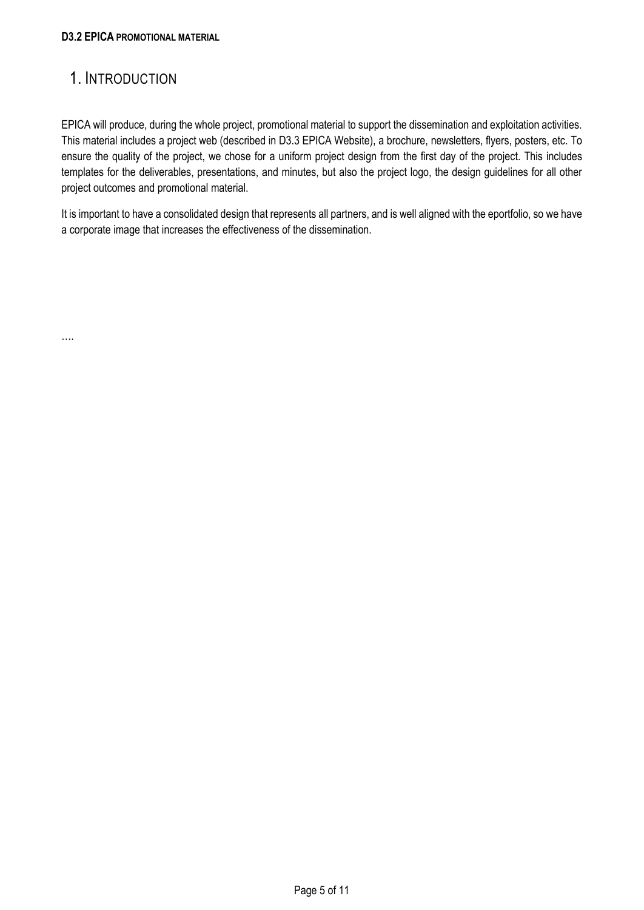### <span id="page-4-0"></span>1. INTRODUCTION

….

EPICA will produce, during the whole project, promotional material to support the dissemination and exploitation activities. This material includes a project web (described in D3.3 EPICA Website), a brochure, newsletters, flyers, posters, etc. To ensure the quality of the project, we chose for a uniform project design from the first day of the project. This includes templates for the deliverables, presentations, and minutes, but also the project logo, the design guidelines for all other project outcomes and promotional material.

It is important to have a consolidated design that represents all partners, and is well aligned with the eportfolio, so we have a corporate image that increases the effectiveness of the dissemination.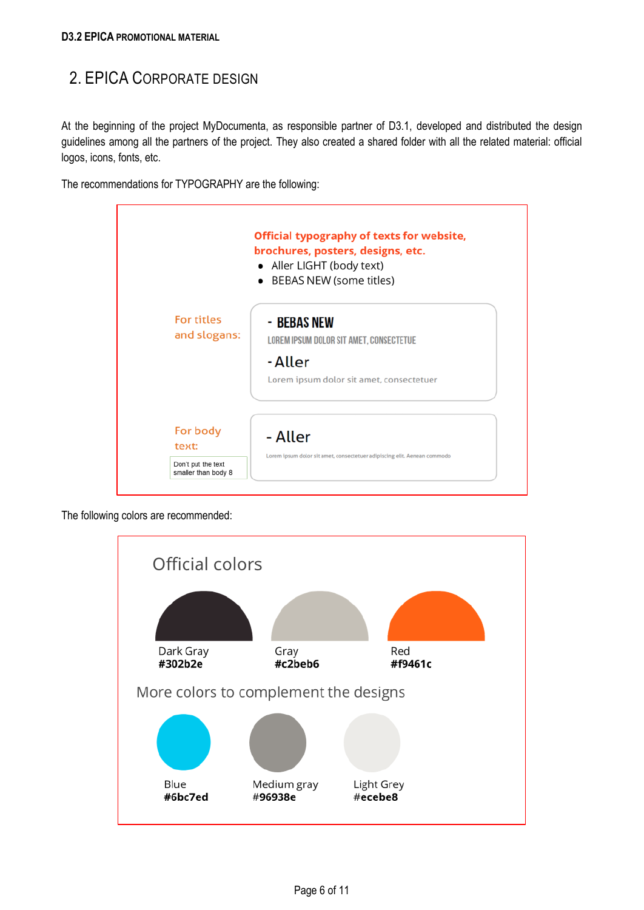### <span id="page-5-0"></span>2. EPICA CORPORATE DESIGN

At the beginning of the project MyDocumenta, as responsible partner of D3.1, developed and distributed the design guidelines among all the partners of the project. They also created a shared folder with all the related material: official logos, icons, fonts, etc.

The recommendations for TYPOGRAPHY are the following:



The following colors are recommended:

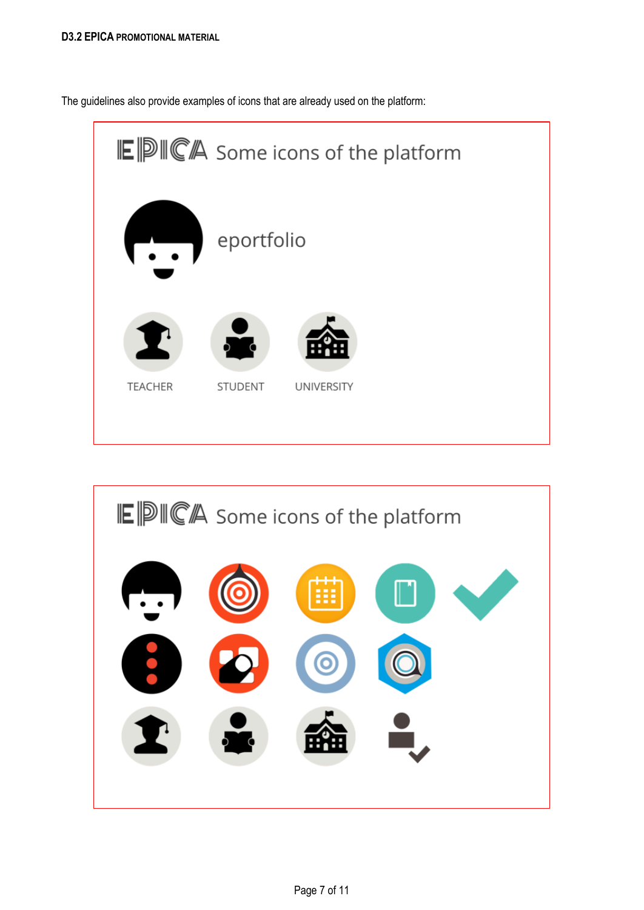The guidelines also provide examples of icons that are already used on the platform:



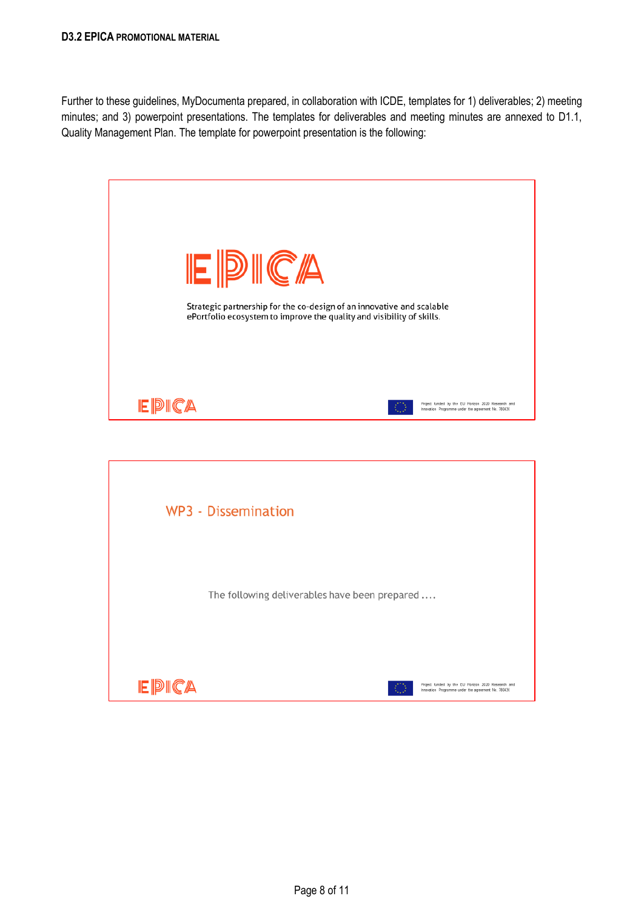Further to these guidelines, MyDocumenta prepared, in collaboration with ICDE, templates for 1) deliverables; 2) meeting minutes; and 3) powerpoint presentations. The templates for deliverables and meeting minutes are annexed to D1.1, Quality Management Plan. The template for powerpoint presentation is the following:



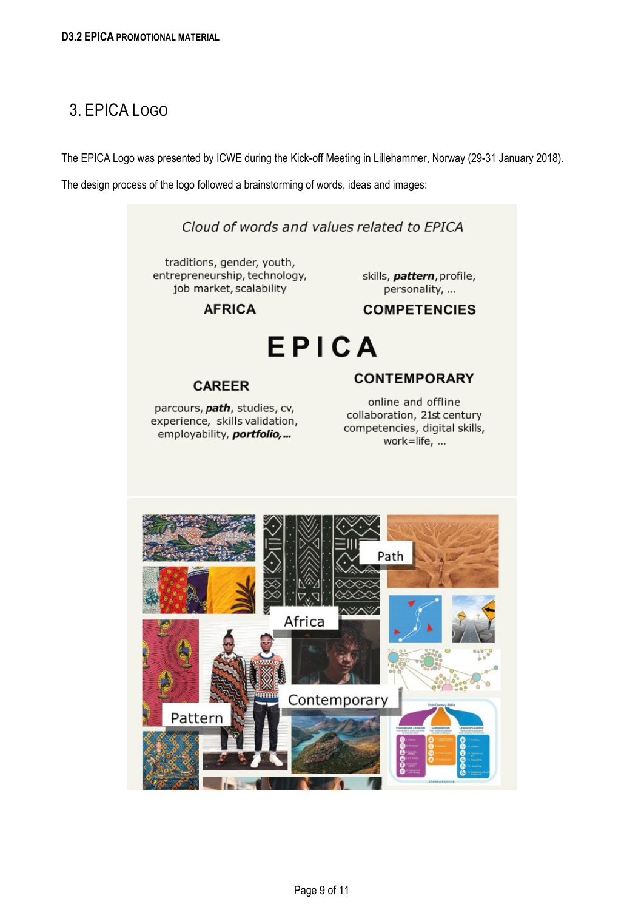# <span id="page-8-0"></span>3. EPICA LOGO

The EPICA Logo was presented by ICWE during the Kick-off Meeting in Lillehammer, Norway (29-31 January 2018).

The design process of the logo followed a brainstorming of words, ideas and images:

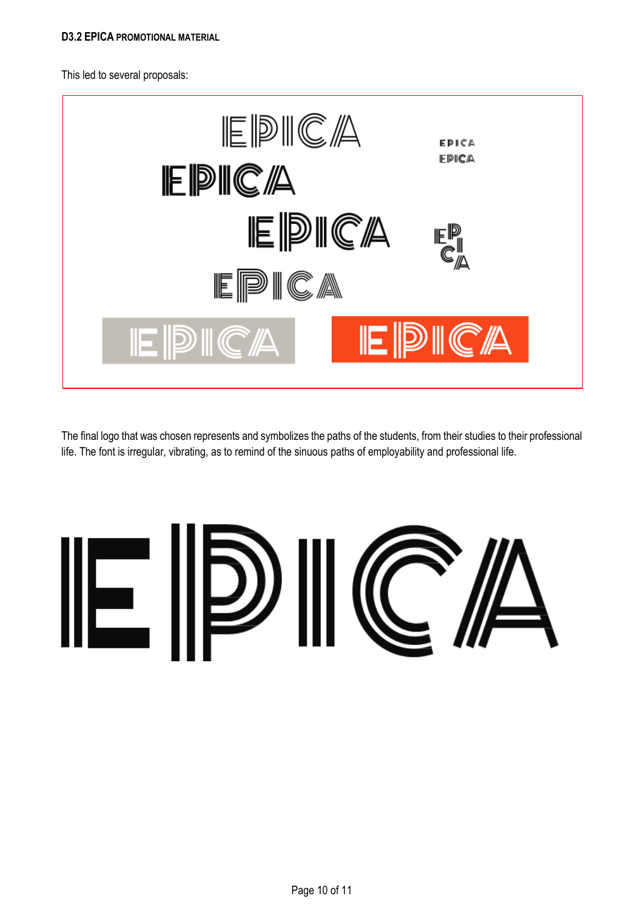This led to several proposals:



The final logo that was chosen represents and symbolizes the paths of the students, from their studies to their professional life. The font is irregular, vibrating, as to remind of the sinuous paths of employability and professional life.